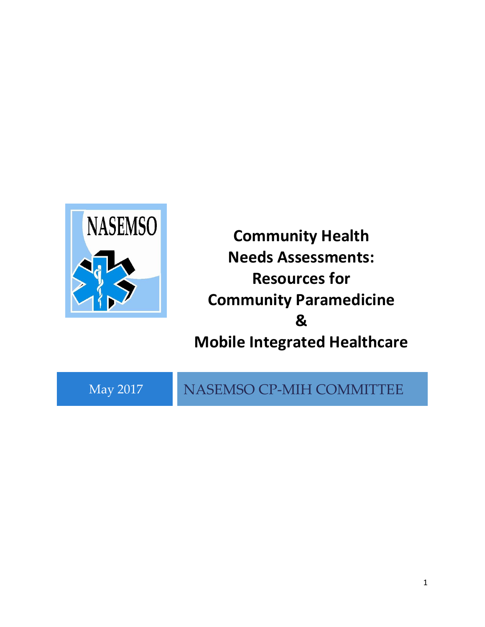

**Community Health Needs Assessments: Resources for Community Paramedicine & Mobile Integrated Healthcare**

May 2017 NASEMSO CP-MIH COMMITTEE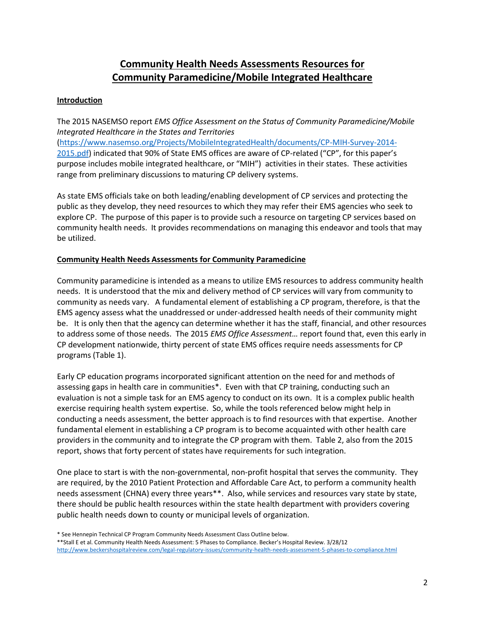# **Community Health Needs Assessments Resources for Community Paramedicine/Mobile Integrated Healthcare**

## **Introduction**

The 2015 NASEMSO report *EMS Office Assessment on the Status of Community Paramedicine/Mobile Integrated Healthcare in the States and Territories* [\(https://www.nasemso.org/Projects/MobileIntegratedHealth/documents/CP-MIH-Survey-2014-](https://www.nasemso.org/Projects/MobileIntegratedHealth/documents/CP-MIH-Survey-2014-2015.pdf) [2015.pdf\)](https://www.nasemso.org/Projects/MobileIntegratedHealth/documents/CP-MIH-Survey-2014-2015.pdf) indicated that 90% of State EMS offices are aware of CP-related ("CP", for this paper's purpose includes mobile integrated healthcare, or "MIH") activities in their states. These activities range from preliminary discussions to maturing CP delivery systems.

As state EMS officials take on both leading/enabling development of CP services and protecting the public as they develop, they need resources to which they may refer their EMS agencies who seek to explore CP. The purpose of this paper is to provide such a resource on targeting CP services based on community health needs. It provides recommendations on managing this endeavor and tools that may be utilized.

### **Community Health Needs Assessments for Community Paramedicine**

Community paramedicine is intended as a means to utilize EMS resources to address community health needs. It is understood that the mix and delivery method of CP services will vary from community to community as needs vary. A fundamental element of establishing a CP program, therefore, is that the EMS agency assess what the unaddressed or under-addressed health needs of their community might be. It is only then that the agency can determine whether it has the staff, financial, and other resources to address some of those needs. The 2015 *EMS Office Assessment…* report found that, even this early in CP development nationwide, thirty percent of state EMS offices require needs assessments for CP programs (Table 1).

Early CP education programs incorporated significant attention on the need for and methods of assessing gaps in health care in communities\*. Even with that CP training, conducting such an evaluation is not a simple task for an EMS agency to conduct on its own. It is a complex public health exercise requiring health system expertise. So, while the tools referenced below might help in conducting a needs assessment, the better approach is to find resources with that expertise. Another fundamental element in establishing a CP program is to become acquainted with other health care providers in the community and to integrate the CP program with them. Table 2, also from the 2015 report, shows that forty percent of states have requirements for such integration.

One place to start is with the non-governmental, non-profit hospital that serves the community. They are required, by the 2010 Patient Protection and Affordable Care Act, to perform a community health needs assessment (CHNA) every three years\*\*. Also, while services and resources vary state by state, there should be public health resources within the state health department with providers covering public health needs down to county or municipal levels of organization.

<sup>\*</sup> See Hennepin Technical CP Program Community Needs Assessment Class Outline below.

<sup>\*\*</sup>Stall E et al. Community Health Needs Assessment: 5 Phases to Compliance. Becker's Hospital Review. 3/28/12

<http://www.beckershospitalreview.com/legal-regulatory-issues/community-health-needs-assessment-5-phases-to-compliance.html>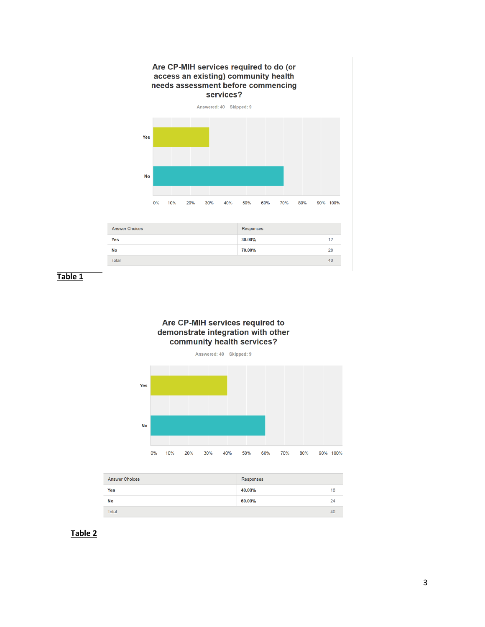

 **Table 1**





| <b>Answer Choices</b> | Responses |    |
|-----------------------|-----------|----|
| <b>Yes</b>            | 40.00%    | 16 |
| No                    | 60.00%    | 24 |
| <b>Total</b>          |           | 40 |

### **Table 2**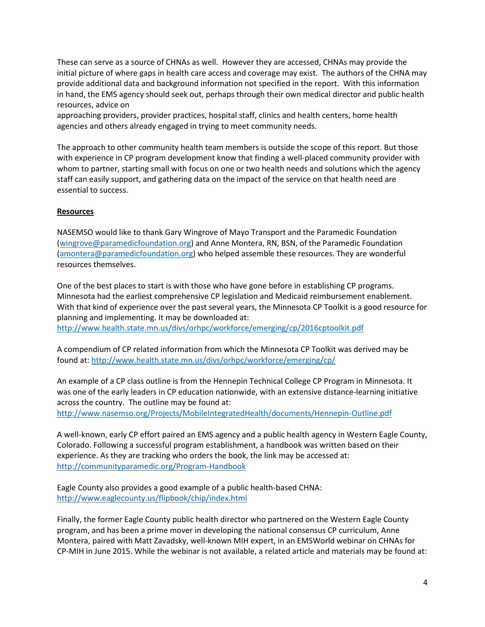These can serve as a source of CHNAs as well. However they are accessed, CHNAs may provide the initial picture of where gaps in health care access and coverage may exist. The authors of the CHNA may provide additional data and background information not specified in the report. With this information in hand, the EMS agency should seek out, perhaps through their own medical director and public health resources, advice on

approaching providers, provider practices, hospital staff, clinics and health centers, home health agencies and others already engaged in trying to meet community needs.

The approach to other community health team members is outside the scope of this report. But those with experience in CP program development know that finding a well-placed community provider with whom to partner, starting small with focus on one or two health needs and solutions which the agency staff can easily support, and gathering data on the impact of the service on that health need are essential to success.

### **Resources**

NASEMSO would like to thank Gary Wingrove of Mayo Transport and the Paramedic Foundation [\(wingrove@paramedicfoundation.org\)](mailto:wingrove@paramedicfoundation.org) and Anne Montera, RN, BSN, of the Paramedic Foundation [\(amontera@paramedicfoundation.org\)](mailto:amontera@paramedicfoundation.org) who helped assemble these resources. They are wonderful resources themselves.

One of the best places to start is with those who have gone before in establishing CP programs. Minnesota had the earliest comprehensive CP legislation and Medicaid reimbursement enablement. With that kind of experience over the past several years, the Minnesota CP Toolkit is a good resource for planning and implementing. It may be downloaded at: <http://www.health.state.mn.us/divs/orhpc/workforce/emerging/cp/2016cptoolkit.pdf>

A compendium of CP related information from which the Minnesota CP Toolkit was derived may be

found at: <http://www.health.state.mn.us/divs/orhpc/workforce/emerging/cp/>

An example of a CP class outline is from the Hennepin Technical College CP Program in Minnesota. It was one of the early leaders in CP education nationwide, with an extensive distance-learning initiative across the country. The outline may be found at:

<http://www.nasemso.org/Projects/MobileIntegratedHealth/documents/Hennepin-Outline.pdf>

A well-known, early CP effort paired an EMS agency and a public health agency in Western Eagle County, Colorado. Following a successful program establishment, a handbook was written based on their experience. As they are tracking who orders the book, the link may be accessed at: <http://communityparamedic.org/Program-Handbook>

Eagle County also provides a good example of a public health-based CHNA: <http://www.eaglecounty.us/flipbook/chip/index.html>

Finally, the former Eagle County public health director who partnered on the Western Eagle County program, and has been a prime mover in developing the national consensus CP curriculum, Anne Montera, paired with Matt Zavadsky, well-known MIH expert, in an EMSWorld webinar on CHNAs for CP-MIH in June 2015. While the webinar is not available, a related article and materials may be found at: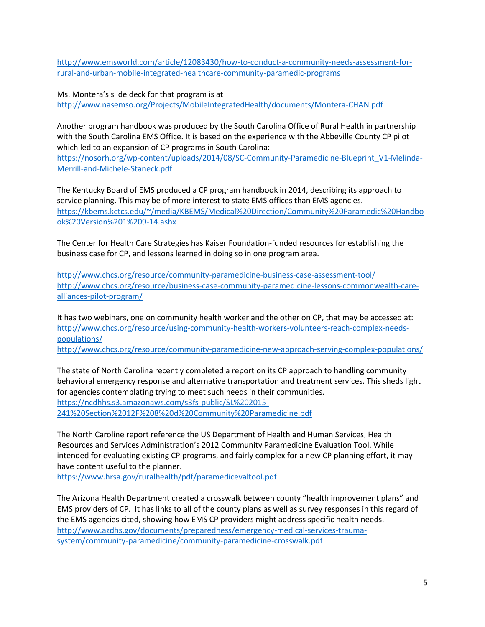[http://www.emsworld.com/article/12083430/how-to-conduct-a-community-needs-assessment-for](http://www.emsworld.com/article/12083430/how-to-conduct-a-community-needs-assessment-for-rural-and-urban-mobile-integrated-healthcare-community-paramedic-programs)[rural-and-urban-mobile-integrated-healthcare-community-paramedic-programs](http://www.emsworld.com/article/12083430/how-to-conduct-a-community-needs-assessment-for-rural-and-urban-mobile-integrated-healthcare-community-paramedic-programs)

Ms. Montera's slide deck for that program is at <http://www.nasemso.org/Projects/MobileIntegratedHealth/documents/Montera-CHAN.pdf>

Another program handbook was produced by the South Carolina Office of Rural Health in partnership with the South Carolina EMS Office. It is based on the experience with the Abbeville County CP pilot which led to an expansion of CP programs in South Carolina:

[https://nosorh.org/wp-content/uploads/2014/08/SC-Community-Paramedicine-Blueprint\\_V1-Melinda-](https://nosorh.org/wp-content/uploads/2014/08/SC-Community-Paramedicine-Blueprint_V1-Melinda-Merrill-and-Michele-Staneck.pdf)[Merrill-and-Michele-Staneck.pdf](https://nosorh.org/wp-content/uploads/2014/08/SC-Community-Paramedicine-Blueprint_V1-Melinda-Merrill-and-Michele-Staneck.pdf)

The Kentucky Board of EMS produced a CP program handbook in 2014, describing its approach to service planning. This may be of more interest to state EMS offices than EMS agencies. [https://kbems.kctcs.edu/~/media/KBEMS/Medical%20Direction/Community%20Paramedic%20Handbo](https://kbems.kctcs.edu/~/media/KBEMS/Medical%20Direction/Community%20Paramedic%20Handbook%20Version%201%209-14.ashx) [ok%20Version%201%209-14.ashx](https://kbems.kctcs.edu/~/media/KBEMS/Medical%20Direction/Community%20Paramedic%20Handbook%20Version%201%209-14.ashx)

The Center for Health Care Strategies has Kaiser Foundation-funded resources for establishing the business case for CP, and lessons learned in doing so in one program area.

<http://www.chcs.org/resource/community-paramedicine-business-case-assessment-tool/> [http://www.chcs.org/resource/business-case-community-paramedicine-lessons-commonwealth-care](http://www.chcs.org/resource/business-case-community-paramedicine-lessons-commonwealth-care-alliances-pilot-program/)[alliances-pilot-program/](http://www.chcs.org/resource/business-case-community-paramedicine-lessons-commonwealth-care-alliances-pilot-program/)

It has two webinars, one on community health worker and the other on CP, that may be accessed at: [http://www.chcs.org/resource/using-community-health-workers-volunteers-reach-complex-needs](http://www.chcs.org/resource/using-community-health-workers-volunteers-reach-complex-needs-populations/)[populations/](http://www.chcs.org/resource/using-community-health-workers-volunteers-reach-complex-needs-populations/) <http://www.chcs.org/resource/community-paramedicine-new-approach-serving-complex-populations/>

The state of North Carolina recently completed a report on its CP approach to handling community behavioral emergency response and alternative transportation and treatment services. This sheds light for agencies contemplating trying to meet such needs in their communities. [https://ncdhhs.s3.amazonaws.com/s3fs-public/SL%202015-](https://ncdhhs.s3.amazonaws.com/s3fs-public/SL%202015-241%20Section%2012F%208%20d%20Community%20Paramedicine.pdf) [241%20Section%2012F%208%20d%20Community%20Paramedicine.pdf](https://ncdhhs.s3.amazonaws.com/s3fs-public/SL%202015-241%20Section%2012F%208%20d%20Community%20Paramedicine.pdf)

The North Caroline report reference the US Department of Health and Human Services, Health Resources and Services Administration's 2012 Community Paramedicine Evaluation Tool. While intended for evaluating existing CP programs, and fairly complex for a new CP planning effort, it may have content useful to the planner.

<https://www.hrsa.gov/ruralhealth/pdf/paramedicevaltool.pdf>

The Arizona Health Department created a crosswalk between county "health improvement plans" and EMS providers of CP. It has links to all of the county plans as well as survey responses in this regard of the EMS agencies cited, showing how EMS CP providers might address specific health needs. [http://www.azdhs.gov/documents/preparedness/emergency-medical-services-trauma](http://www.azdhs.gov/documents/preparedness/emergency-medical-services-trauma-system/community-paramedicine/community-paramedicine-crosswalk.pdf)[system/community-paramedicine/community-paramedicine-crosswalk.pdf](http://www.azdhs.gov/documents/preparedness/emergency-medical-services-trauma-system/community-paramedicine/community-paramedicine-crosswalk.pdf)